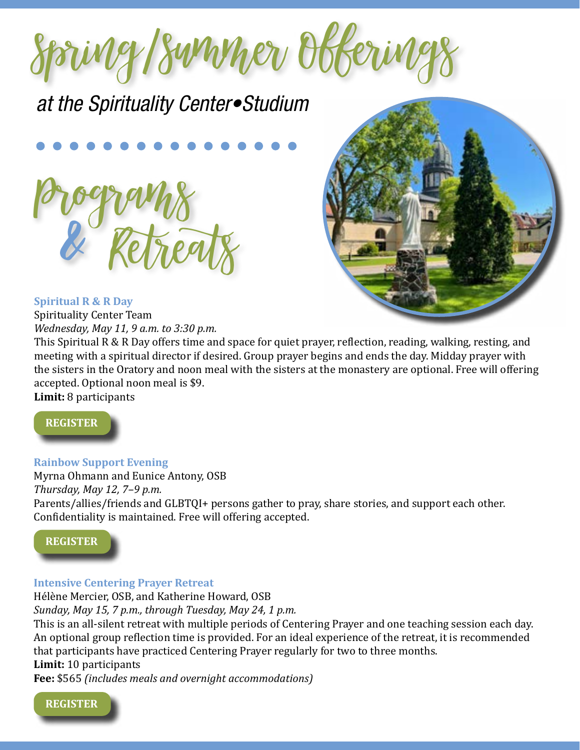

*at the Spirituality Center•Studium*





# **Spiritual R & R Day**

Spirituality Center Team *Wednesday, May 11, 9 a.m. to 3:30 p.m.*

This Spiritual R & R Day offers time and space for quiet prayer, reflection, reading, walking, resting, and meeting with a spiritual director if desired. Group prayer begins and ends the day. Midday prayer with the sisters in the Oratory and noon meal with the sisters at the monastery are optional. Free will offering accepted. Optional noon meal is \$9.

**Limit:** 8 participants



**Rainbow Support Evening**

Myrna Ohmann and Eunice Antony, OSB *Thursday, May 12, 7–9 p.m.* Parents/allies/friends and GLBTQI+ persons gather to pray, share stories, and support each other. Confidentiality is maintained. Free will offering accepted.

## **[REGISTER](https://sbm.osb.org/event/rainbow-support-evening/)**

## **Intensive Centering Prayer Retreat**

Hélène Mercier, OSB, and Katherine Howard, OSB

*Sunday, May 15, 7 p.m., through Tuesday, May 24, 1 p.m.*

This is an all-silent retreat with multiple periods of Centering Prayer and one teaching session each day. An optional group reflection time is provided. For an ideal experience of the retreat, it is recommended that participants have practiced Centering Prayer regularly for two to three months.

# **Limit:** 10 participants

**Fee:** \$565 *(includes meals and overnight accommodations)*

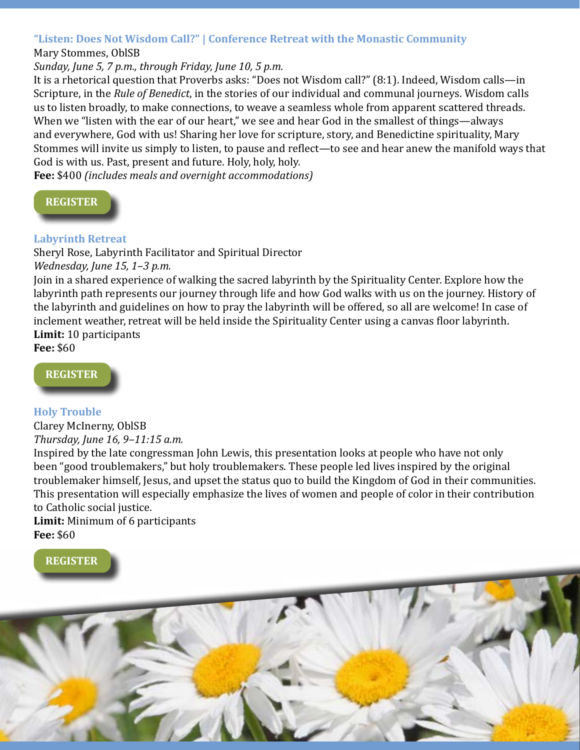## **"Listen: Does Not Wisdom Call?" | Conference Retreat with the Monastic Community**

#### Mary Stommes, OblSB

## *Sunday, June 5, 7 p.m., through Friday, June 10, 5 p.m.*

It is a rhetorical question that Proverbs asks: "Does not Wisdom call?" (8:1). Indeed, Wisdom calls—in Scripture, in the *Rule of Benedict*, in the stories of our individual and communal journeys. Wisdom calls us to listen broadly, to make connections, to weave a seamless whole from apparent scattered threads. When we "listen with the ear of our heart," we see and hear God in the smallest of things—always and everywhere, God with us! Sharing her love for scripture, story, and Benedictine spirituality, Mary Stommes will invite us simply to listen, to pause and reflect—to see and hear anew the manifold ways that God is with us. Past, present and future. Holy, holy, holy.

**Fee:** \$400 *(includes meals and overnight accommodations)*



#### **Labyrinth Retreat**

Sheryl Rose, Labyrinth Facilitator and Spiritual Director

*Wednesday, June 15, 1–3 p.m.*

Join in a shared experience of walking the sacred labyrinth by the Spirituality Center. Explore how the labyrinth path represents our journey through life and how God walks with us on the journey. History of the labyrinth and guidelines on how to pray the labyrinth will be offered, so all are welcome! In case of inclement weather, retreat will be held inside the Spirituality Center using a canvas floor labyrinth. **Limit:** 10 participants

**Fee:** \$60



#### **Holy Trouble**

Clarey McInerny, OblSB *Thursday, June 16, 9–11:15 a.m.*

Inspired by the late congressman John Lewis, this presentation looks at people who have not only been "good troublemakers," but holy troublemakers. These people led lives inspired by the original troublemaker himself, Jesus, and upset the status quo to build the Kingdom of God in their communities. This presentation will especially emphasize the lives of women and people of color in their contribution to Catholic social justice.

## **Limit:** Minimum of 6 participants **Fee:** \$60